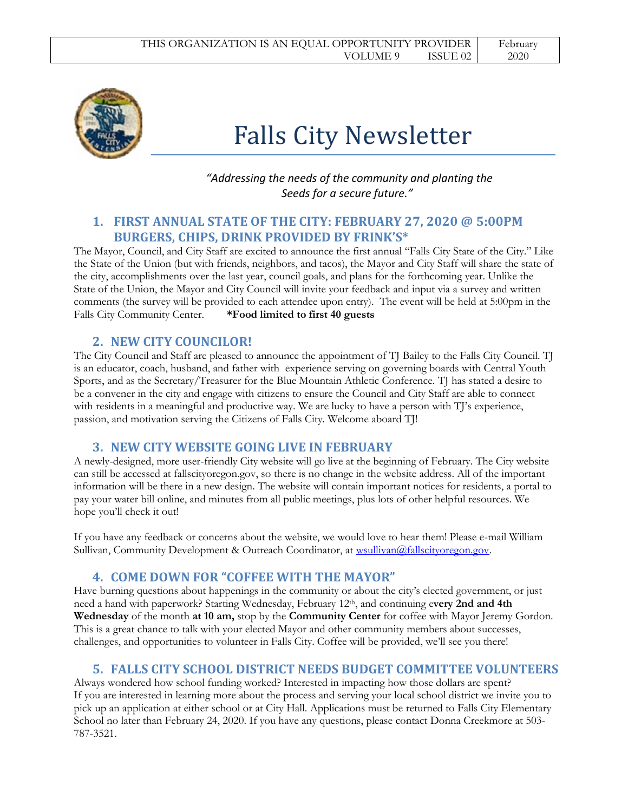

# Falls City Newsletter

### *"Addressing the needs of the community and planting the Seeds for a secure future."*

#### **1. FIRST ANNUAL STATE OF THE CITY: FEBRUARY 27, 2020 @ 5:00PM BURGERS, CHIPS, DRINK PROVIDED BY FRINK'S\***

The Mayor, Council, and City Staff are excited to announce the first annual "Falls City State of the City." Like the State of the Union (but with friends, neighbors, and tacos), the Mayor and City Staff will share the state of the city, accomplishments over the last year, council goals, and plans for the forthcoming year. Unlike the State of the Union, the Mayor and City Council will invite your feedback and input via a survey and written comments (the survey will be provided to each attendee upon entry). The event will be held at 5:00pm in the Falls City Community Center. **\*Food limited to first 40 guests**

# **2. NEW CITY COUNCILOR!**

The City Council and Staff are pleased to announce the appointment of TJ Bailey to the Falls City Council. TJ is an educator, coach, husband, and father with experience serving on governing boards with Central Youth Sports, and as the Secretary/Treasurer for the Blue Mountain Athletic Conference. TJ has stated a desire to be a convener in the city and engage with citizens to ensure the Council and City Staff are able to connect with residents in a meaningful and productive way. We are lucky to have a person with TJ's experience, passion, and motivation serving the Citizens of Falls City. Welcome aboard TJ!

#### **3. NEW CITY WEBSITE GOING LIVE IN FEBRUARY**

A newly-designed, more user-friendly City website will go live at the beginning of February. The City website can still be accessed at fallscityoregon.gov, so there is no change in the website address. All of the important information will be there in a new design. The website will contain important notices for residents, a portal to pay your water bill online, and minutes from all public meetings, plus lots of other helpful resources. We hope you'll check it out!

If you have any feedback or concerns about the website, we would love to hear them! Please e-mail William Sullivan, Community Development & Outreach Coordinator, at [wsullivan@fallscityoregon.gov.](mailto:wsullivan@fallscityoregon.gov)

# **4. COME DOWN FOR "COFFEE WITH THE MAYOR"**

Have burning questions about happenings in the community or about the city's elected government, or just need a hand with paperwork? Starting Wednesday, February 12th, and continuing e**very 2nd and 4th Wednesday** of the month **at 10 am,** stop by the **Community Center** for coffee with Mayor Jeremy Gordon. This is a great chance to talk with your elected Mayor and other community members about successes, challenges, and opportunities to volunteer in Falls City. Coffee will be provided, we'll see you there!

#### **5. FALLS CITY SCHOOL DISTRICT NEEDS BUDGET COMMITTEE VOLUNTEERS**

Always wondered how school funding worked? Interested in impacting how those dollars are spent? If you are interested in learning more about the process and serving your local school district we invite you to pick up an application at either school or at City Hall. Applications must be returned to Falls City Elementary School no later than February 24, 2020. If you have any questions, please contact Donna Creekmore at 503- 787-3521.